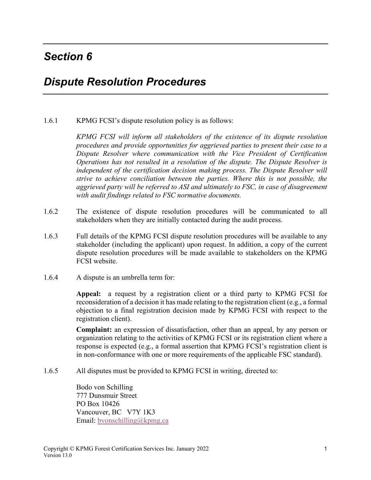## *Section 6*

## *Dispute Resolution Procedures*

1.6.1 KPMG FCSI's dispute resolution policy is as follows:

*KPMG FCSI will inform all stakeholders of the existence of its dispute resolution procedures and provide opportunities for aggrieved parties to present their case to a Dispute Resolver where communication with the Vice President of Certification Operations has not resulted in a resolution of the dispute. The Dispute Resolver is independent of the certification decision making process. The Dispute Resolver will strive to achieve conciliation between the parties. Where this is not possible, the aggrieved party will be referred to ASI and ultimately to FSC, in case of disagreement with audit findings related to FSC normative documents.* 

- 1.6.2 The existence of dispute resolution procedures will be communicated to all stakeholders when they are initially contacted during the audit process.
- 1.6.3 Full details of the KPMG FCSI dispute resolution procedures will be available to any stakeholder (including the applicant) upon request. In addition, a copy of the current dispute resolution procedures will be made available to stakeholders on the KPMG FCSI website.
- 1.6.4 A dispute is an umbrella term for:

**Appeal:** a request by a registration client or a third party to KPMG FCSI for reconsideration of a decision it has made relating to the registration client (e.g., a formal objection to a final registration decision made by KPMG FCSI with respect to the registration client).

**Complaint:** an expression of dissatisfaction, other than an appeal, by any person or organization relating to the activities of KPMG FCSI or its registration client where a response is expected (e.g., a formal assertion that KPMG FCSI's registration client is in non-conformance with one or more requirements of the applicable FSC standard).

1.6.5 All disputes must be provided to KPMG FCSI in writing, directed to:

 Bodo von Schilling 777 Dunsmuir Street PO Box 10426 Vancouver, BC V7Y 1K3 Email: bvonschilling@kpmg.ca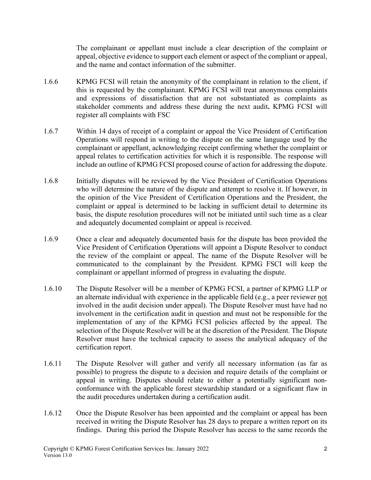The complainant or appellant must include a clear description of the complaint or appeal, objective evidence to support each element or aspect of the compliant or appeal, and the name and contact information of the submitter.

- 1.6.6 KPMG FCSI will retain the anonymity of the complainant in relation to the client, if this is requested by the complainant. KPMG FCSI will treat anonymous complaints and expressions of dissatisfaction that are not substantiated as complaints as stakeholder comments and address these during the next audit**.** KPMG FCSI will register all complaints with FSC
- 1.6.7 Within 14 days of receipt of a complaint or appeal the Vice President of Certification Operations will respond in writing to the dispute on the same language used by the complainant or appellant, acknowledging receipt confirming whether the complaint or appeal relates to certification activities for which it is responsible. The response will include an outline of KPMG FCSI proposed course of action for addressing the dispute.
- 1.6.8 Initially disputes will be reviewed by the Vice President of Certification Operations who will determine the nature of the dispute and attempt to resolve it. If however, in the opinion of the Vice President of Certification Operations and the President, the complaint or appeal is determined to be lacking in sufficient detail to determine its basis, the dispute resolution procedures will not be initiated until such time as a clear and adequately documented complaint or appeal is received.
- 1.6.9 Once a clear and adequately documented basis for the dispute has been provided the Vice President of Certification Operations will appoint a Dispute Resolver to conduct the review of the complaint or appeal. The name of the Dispute Resolver will be communicated to the complainant by the President. KPMG FSCI will keep the complainant or appellant informed of progress in evaluating the dispute.
- 1.6.10 The Dispute Resolver will be a member of KPMG FCSI, a partner of KPMG LLP or an alternate individual with experience in the applicable field (e.g., a peer reviewer not involved in the audit decision under appeal). The Dispute Resolver must have had no involvement in the certification audit in question and must not be responsible for the implementation of any of the KPMG FCSI policies affected by the appeal. The selection of the Dispute Resolver will be at the discretion of the President. The Dispute Resolver must have the technical capacity to assess the analytical adequacy of the certification report.
- 1.6.11 The Dispute Resolver will gather and verify all necessary information (as far as possible) to progress the dispute to a decision and require details of the complaint or appeal in writing. Disputes should relate to either a potentially significant nonconformance with the applicable forest stewardship standard or a significant flaw in the audit procedures undertaken during a certification audit.
- 1.6.12 Once the Dispute Resolver has been appointed and the complaint or appeal has been received in writing the Dispute Resolver has 28 days to prepare a written report on its findings. During this period the Dispute Resolver has access to the same records the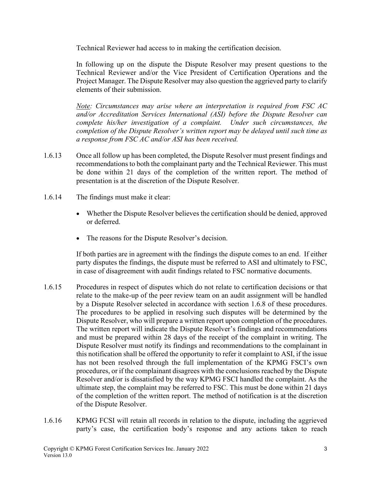Technical Reviewer had access to in making the certification decision.

In following up on the dispute the Dispute Resolver may present questions to the Technical Reviewer and/or the Vice President of Certification Operations and the Project Manager. The Dispute Resolver may also question the aggrieved party to clarify elements of their submission.

*Note: Circumstances may arise where an interpretation is required from FSC AC and/or Accreditation Services International (ASI) before the Dispute Resolver can complete his/her investigation of a complaint. Under such circumstances, the completion of the Dispute Resolver's written report may be delayed until such time as a response from FSC AC and/or ASI has been received.* 

- 1.6.13 Once all follow up has been completed, the Dispute Resolver must present findings and recommendations to both the complainant party and the Technical Reviewer. This must be done within 21 days of the completion of the written report. The method of presentation is at the discretion of the Dispute Resolver.
- 1.6.14 The findings must make it clear:
	- Whether the Dispute Resolver believes the certification should be denied, approved or deferred.
	- The reasons for the Dispute Resolver's decision.

If both parties are in agreement with the findings the dispute comes to an end. If either party disputes the findings, the dispute must be referred to ASI and ultimately to FSC, in case of disagreement with audit findings related to FSC normative documents.

- 1.6.15 Procedures in respect of disputes which do not relate to certification decisions or that relate to the make-up of the peer review team on an audit assignment will be handled by a Dispute Resolver selected in accordance with section 1.6.8 of these procedures. The procedures to be applied in resolving such disputes will be determined by the Dispute Resolver, who will prepare a written report upon completion of the procedures. The written report will indicate the Dispute Resolver's findings and recommendations and must be prepared within 28 days of the receipt of the complaint in writing. The Dispute Resolver must notify its findings and recommendations to the complainant in this notification shall be offered the opportunity to refer it complaint to ASI, if the issue has not been resolved through the full implementation of the KPMG FSCI's own procedures, or if the complainant disagrees with the conclusions reached by the Dispute Resolver and/or is dissatisfied by the way KPMG FSCI handled the complaint. As the ultimate step, the complaint may be referred to FSC. This must be done within 21 days of the completion of the written report. The method of notification is at the discretion of the Dispute Resolver.
- 1.6.16 KPMG FCSI will retain all records in relation to the dispute, including the aggrieved party's case, the certification body's response and any actions taken to reach